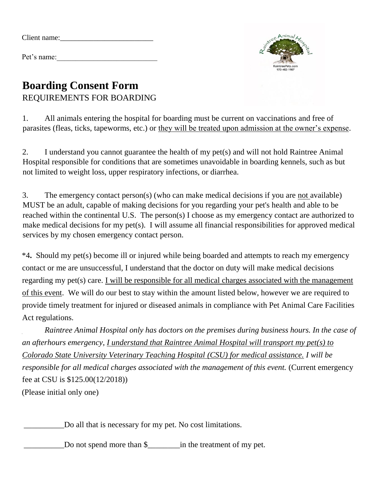Pet's name:



## **Boarding Consent Form** REQUIREMENTS FOR BOARDING

1. All animals entering the hospital for boarding must be current on vaccinations and free of parasites (fleas, ticks, tapeworms, etc.) or they will be treated upon admission at the owner's expense.

2. I understand you cannot guarantee the health of my pet(s) and will not hold Raintree Animal Hospital responsible for conditions that are sometimes unavoidable in boarding kennels, such as but not limited to weight loss, upper respiratory infections, or diarrhea.

3. The emergency contact person(s) (who can make medical decisions if you are not available) MUST be an adult, capable of making decisions for you regarding your pet's health and able to be reached within the continental U.S. The person(s) I choose as my emergency contact are authorized to make medical decisions for my pet(s). I will assume all financial responsibilities for approved medical services by my chosen emergency contact person.

\*4**.** Should my pet(s) become ill or injured while being boarded and attempts to reach my emergency contact or me are unsuccessful, I understand that the doctor on duty will make medical decisions regarding my pet(s) care. I will be responsible for all medical charges associated with the management of this event. We will do our best to stay within the amount listed below, however we are required to provide timely treatment for injured or diseased animals in compliance with Pet Animal Care Facilities Act regulations.

*Raintree Animal Hospital only has doctors on the premises during business hours. In the case of an afterhours emergency, I understand that Raintree Animal Hospital will transport my pet(s) to Colorado State University Veterinary Teaching Hospital (CSU) for medical assistance. I will be responsible for all medical charges associated with the management of this event.* (Current emergency fee at CSU is \$125.00(12/2018)) (Please initial only one)

\_\_\_\_\_\_\_\_\_\_Do all that is necessary for my pet. No cost limitations.

\_\_\_\_\_\_\_\_\_\_Do not spend more than \$\_\_\_\_\_\_\_\_in the treatment of my pet.